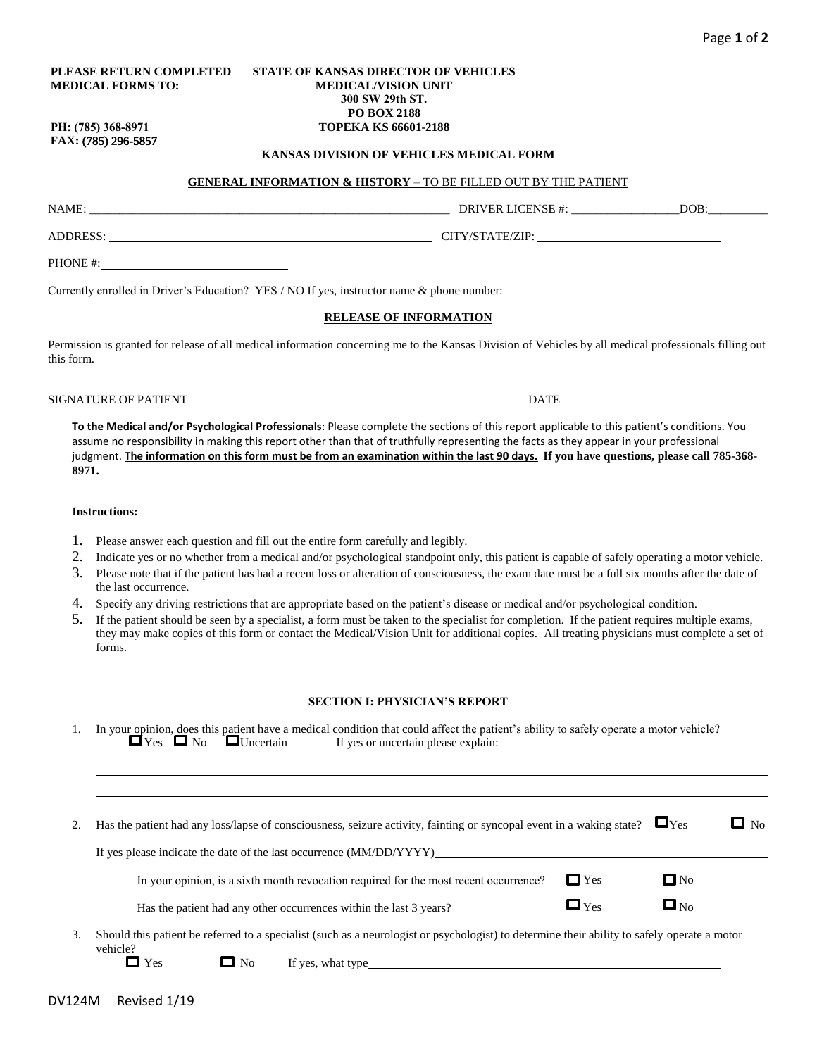### **PLEASE RETURN COMPLETED MEDICAL FORMS TO:**

#### **STATE OF KANSAS DIRECTOR OF VEHICLES MEDICAL/VISION UNIT 300 SW 29th ST. PO BOX 2188 TOPEKA KS 66601-2188**

**PH: (785) 368-8971 FAX:** (785) 296-5857

#### **KANSAS DIVISION OF VEHICLES MEDICAL FORM**

## **GENERAL INFORMATION & HISTORY** – TO BE FILLED OUT BY THE PATIENT

NAME: \_\_\_\_\_\_\_\_\_\_\_\_\_\_\_\_\_\_\_\_\_\_\_\_\_\_\_\_\_\_\_\_\_\_\_\_\_\_\_\_\_\_\_\_\_\_\_\_\_\_\_\_\_\_\_\_\_\_\_\_ DRIVER LICENSE #: \_\_\_\_\_\_\_\_\_\_\_\_\_\_\_\_\_\_DOB:\_\_\_\_\_\_\_\_\_\_

ADDRESS: CITY/STATE/ZIP:

PHONE #:

Currently enrolled in Driver's Education? YES / NO If yes, instructor name & phone number:

### **RELEASE OF INFORMATION**

Permission is granted for release of all medical information concerning me to the Kansas Division of Vehicles by all medical professionals filling out this form.

# SIGNATURE OF PATIENT DATE

**To the Medical and/or Psychological Professionals**: Please complete the sections of this report applicable to this patient's conditions. You assume no responsibility in making this report other than that of truthfully representing the facts as they appear in your professional judgment. **The information on this form must be from an examination within the last 90 days. If you have questions, please call 785-368- 8971.**

#### **Instructions:**

- 1. Please answer each question and fill out the entire form carefully and legibly.
- 2. Indicate yes or no whether from a medical and/or psychological standpoint only, this patient is capable of safely operating a motor vehicle.
- 3. Please note that if the patient has had a recent loss or alteration of consciousness, the exam date must be a full six months after the date of the last occurrence.
- 4. Specify any driving restrictions that are appropriate based on the patient's disease or medical and/or psychological condition.
- 5. If the patient should be seen by a specialist, a form must be taken to the specialist for completion. If the patient requires multiple exams, they may make copies of this form or contact the Medical/Vision Unit for additional copies. All treating physicians must complete a set of forms.

#### **SECTION I: PHYSICIAN'S REPORT**

|  | $\Box$ Yes $\Box$ No $\Box$ Uncertain | 1. In your opinion, does this patient have a medical condition that could affect the patient's ability to safely operate a motor vehicle? |
|--|---------------------------------------|-------------------------------------------------------------------------------------------------------------------------------------------|
|  |                                       | If yes or uncertain please explain:                                                                                                       |

|    | Has the patient had any loss/lapse of consciousness, seizure activity, fainting or syncopal event in a waking state?                                     | $\Box$ Yes         | $\Box$ No |
|----|----------------------------------------------------------------------------------------------------------------------------------------------------------|--------------------|-----------|
|    | If yes please indicate the date of the last occurrence (MM/DD/YYYY)                                                                                      |                    |           |
|    | $\Box$ Yes<br>In your opinion, is a sixth month revocation required for the most recent occurrence?                                                      | $\square$ No       |           |
|    | $\mathbf{\square}$ Yes<br>Has the patient had any other occurrences within the last 3 years?                                                             | $\square_{\rm No}$ |           |
| 3. | Should this patient be referred to a specialist (such as a neurologist or psychologist) to determine their ability to safely operate a motor<br>vehicle? |                    |           |

 $\Box$  Yes  $\Box$  No If yes, what type